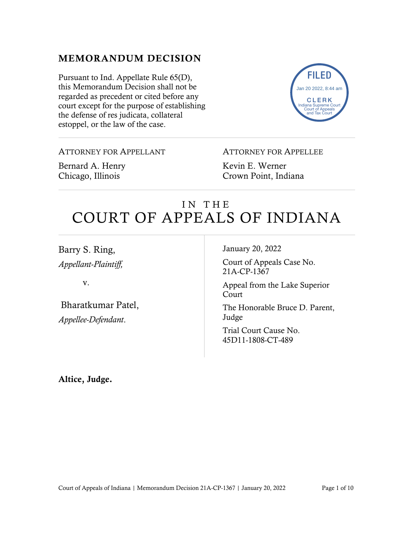## MEMORANDUM DECISION

Pursuant to Ind. Appellate Rule 65(D), this Memorandum Decision shall not be regarded as precedent or cited before any court except for the purpose of establishing the defense of res judicata, collateral estoppel, or the law of the case.



ATTORNEY FOR APPELLANT

Bernard A. Henry Chicago, Illinois

ATTORNEY FOR APPELLEE

Kevin E. Werner Crown Point, Indiana

# IN THE COURT OF APPEALS OF INDIANA

Barry S. Ring, *Appellant-Plaintiff,*

v.

Bharatkumar Patel, *Appellee-Defendant*.

January 20, 2022

Court of Appeals Case No. 21A-CP-1367

Appeal from the Lake Superior Court

The Honorable Bruce D. Parent, Judge

Trial Court Cause No. 45D11-1808-CT-489

Altice, Judge.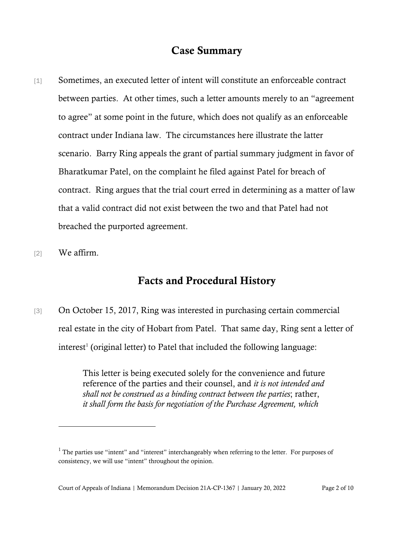### Case Summary

- [1] Sometimes, an executed letter of intent will constitute an enforceable contract between parties. At other times, such a letter amounts merely to an "agreement to agree" at some point in the future, which does not qualify as an enforceable contract under Indiana law. The circumstances here illustrate the latter scenario. Barry Ring appeals the grant of partial summary judgment in favor of Bharatkumar Patel, on the complaint he filed against Patel for breach of contract. Ring argues that the trial court erred in determining as a matter of law that a valid contract did not exist between the two and that Patel had not breached the purported agreement.
- [2] We affirm.

#### Facts and Procedural History

[3] On October 15, 2017, Ring was interested in purchasing certain commercial real estate in the city of Hobart from Patel. That same day, Ring sent a letter of  $interest<sup>1</sup>$  $interest<sup>1</sup>$  $interest<sup>1</sup>$  (original letter) to Patel that included the following language:

> This letter is being executed solely for the convenience and future reference of the parties and their counsel, and *it is not intended and shall not be construed as a binding contract between the parties*; rather, *it shall form the basis for negotiation of the Purchase Agreement, which*

<span id="page-1-0"></span> $<sup>1</sup>$  The parties use "intent" and "interest" interchangeably when referring to the letter. For purposes of</sup> consistency, we will use "intent" throughout the opinion.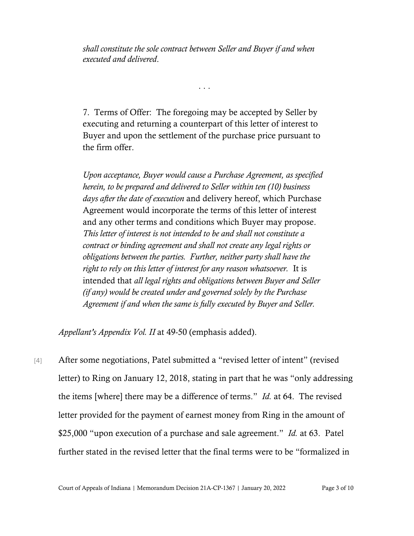*shall constitute the sole contract between Seller and Buyer if and when executed and delivered*.

7. Terms of Offer: The foregoing may be accepted by Seller by executing and returning a counterpart of this letter of interest to Buyer and upon the settlement of the purchase price pursuant to the firm offer.

. . .

*Upon acceptance, Buyer would cause a Purchase Agreement, as specified herein, to be prepared and delivered to Seller within ten (10) business days after the date of execution* and delivery hereof, which Purchase Agreement would incorporate the terms of this letter of interest and any other terms and conditions which Buyer may propose. *This letter of interest is not intended to be and shall not constitute a contract or binding agreement and shall not create any legal rights or obligations between the parties. Further, neither party shall have the right to rely on this letter of interest for any reason whatsoever.* It is intended that *all legal rights and obligations between Buyer and Seller (if any) would be created under and governed solely by the Purchase Agreement if and when the same is fully executed by Buyer and Seller.*

*Appellant's Appendix Vol. II* at 49-50 (emphasis added).

[4] After some negotiations, Patel submitted a "revised letter of intent" (revised letter) to Ring on January 12, 2018, stating in part that he was "only addressing the items [where] there may be a difference of terms." *Id.* at 64. The revised letter provided for the payment of earnest money from Ring in the amount of \$25,000 "upon execution of a purchase and sale agreement." *Id.* at 63. Patel further stated in the revised letter that the final terms were to be "formalized in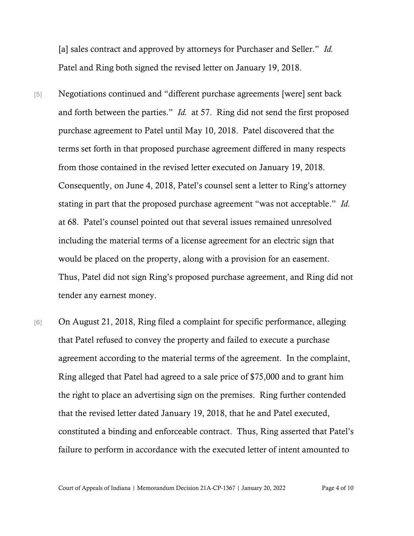[a] sales contract and approved by attorneys for Purchaser and Seller." *Id.* Patel and Ring both signed the revised letter on January 19, 2018.

- [5] Negotiations continued and "different purchase agreements [were] sent back and forth between the parties." *Id.* at 57. Ring did not send the first proposed purchase agreement to Patel until May 10, 2018. Patel discovered that the terms set forth in that proposed purchase agreement differed in many respects from those contained in the revised letter executed on January 19, 2018. Consequently, on June 4, 2018, Patel's counsel sent a letter to Ring's attorney stating in part that the proposed purchase agreement "was not acceptable." *Id.*  at 68. Patel's counsel pointed out that several issues remained unresolved including the material terms of a license agreement for an electric sign that would be placed on the property, along with a provision for an easement. Thus, Patel did not sign Ring's proposed purchase agreement, and Ring did not tender any earnest money.
- [6] On August 21, 2018, Ring filed a complaint for specific performance, alleging that Patel refused to convey the property and failed to execute a purchase agreement according to the material terms of the agreement. In the complaint, Ring alleged that Patel had agreed to a sale price of \$75,000 and to grant him the right to place an advertising sign on the premises. Ring further contended that the revised letter dated January 19, 2018, that he and Patel executed, constituted a binding and enforceable contract. Thus, Ring asserted that Patel's failure to perform in accordance with the executed letter of intent amounted to

Court of Appeals of Indiana | Memorandum Decision 21A-CP-1367 | January 20, 2022 Page 4 of 10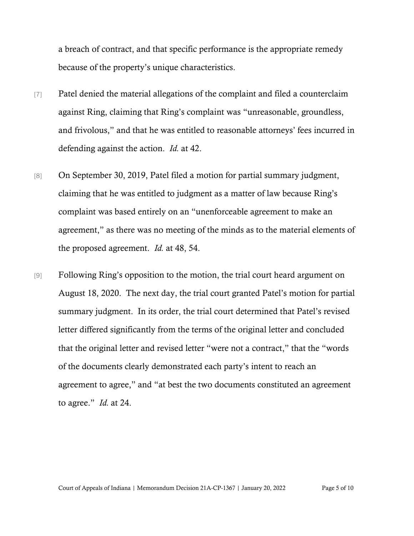a breach of contract, and that specific performance is the appropriate remedy because of the property's unique characteristics.

- [7] Patel denied the material allegations of the complaint and filed a counterclaim against Ring, claiming that Ring's complaint was "unreasonable, groundless, and frivolous," and that he was entitled to reasonable attorneys' fees incurred in defending against the action. *Id.* at 42.
- [8] On September 30, 2019, Patel filed a motion for partial summary judgment, claiming that he was entitled to judgment as a matter of law because Ring's complaint was based entirely on an "unenforceable agreement to make an agreement," as there was no meeting of the minds as to the material elements of the proposed agreement. *Id.* at 48, 54.
- [9] Following Ring's opposition to the motion, the trial court heard argument on August 18, 2020. The next day, the trial court granted Patel's motion for partial summary judgment. In its order, the trial court determined that Patel's revised letter differed significantly from the terms of the original letter and concluded that the original letter and revised letter "were not a contract," that the "words of the documents clearly demonstrated each party's intent to reach an agreement to agree," and "at best the two documents constituted an agreement to agree." *Id.* at 24.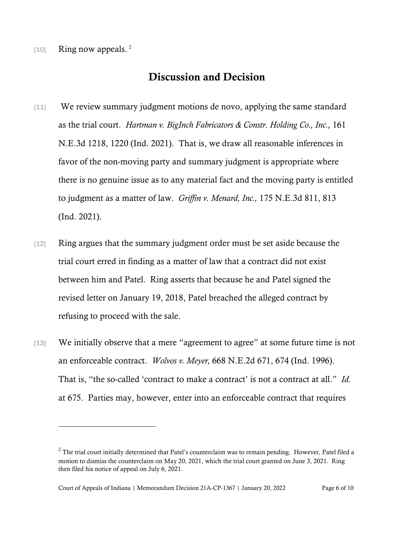$[10]$  Ring now appeals.<sup>[2](#page-5-0)</sup>

## Discussion and Decision

- [11] We review summary judgment motions de novo, applying the same standard as the trial court. *Hartman v. BigInch Fabricators & Constr. Holding Co., Inc.,* 161 N.E.3d 1218, 1220 (Ind. 2021). That is, we draw all reasonable inferences in favor of the non-moving party and summary judgment is appropriate where there is no genuine issue as to any material fact and the moving party is entitled to judgment as a matter of law. *Griffin v. Menard, Inc.,* 175 N.E.3d 811, 813 (Ind. 2021).
- [12] Ring argues that the summary judgment order must be set aside because the trial court erred in finding as a matter of law that a contract did not exist between him and Patel. Ring asserts that because he and Patel signed the revised letter on January 19, 2018, Patel breached the alleged contract by refusing to proceed with the sale.
- [13] We initially observe that a mere "agreement to agree" at some future time is not an enforceable contract. *Wolvos v. Meyer,* 668 N.E.2d 671, 674 (Ind. 1996). That is, "the so-called 'contract to make a contract' is not a contract at all." *Id.*  at 675. Parties may, however, enter into an enforceable contract that requires

<span id="page-5-0"></span> $<sup>2</sup>$  The trial court initially determined that Patel's counterclaim was to remain pending. However, Patel filed a</sup> motion to dismiss the counterclaim on May 20, 2021, which the trial court granted on June 3, 2021. Ring then filed his notice of appeal on July 6, 2021.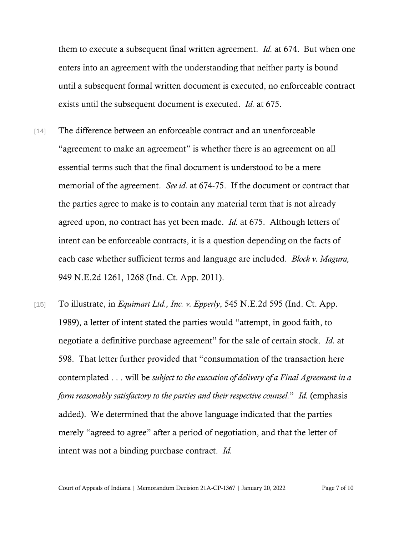them to execute a subsequent final written agreement. *Id.* at 674.But when one enters into an agreement with the understanding that neither party is bound until a subsequent formal written document is executed, no enforceable contract exists until the subsequent document is executed. *Id.* at 675.

- [14] The difference between an enforceable contract and an unenforceable "agreement to make an agreement" is whether there is an agreement on all essential terms such that the final document is understood to be a mere memorial of the agreement. *See id.* at 674-75. If the document or contract that the parties agree to make is to contain any material term that is not already agreed upon, no contract has yet been made. *Id.* at 675. Although letters of intent can be enforceable contracts, it is a question depending on the facts of each case whether sufficient terms and language are included. *Block v. Magura,*  949 N.E.2d 1261, 1268 (Ind. Ct. App. 2011).
- [15] To illustrate, in *Equimart Ltd., Inc. v. Epperly*, 545 N.E.2d 595 (Ind. Ct. App. 1989), a letter of intent stated the parties would "attempt, in good faith, to negotiate a definitive purchase agreement" for the sale of certain stock. *Id.* at 598. That letter further provided that "consummation of the transaction here contemplated . . . will be *subject to the execution of delivery of a Final Agreement in a form reasonably satisfactory to the parties and their respective counsel.*" *Id.* (emphasis added).We determined that the above language indicated that the parties merely "agreed to agree" after a period of negotiation, and that the letter of intent was not a binding purchase contract. *Id.*

Court of Appeals of Indiana | Memorandum Decision 21A-CP-1367 | January 20, 2022 Page 7 of 10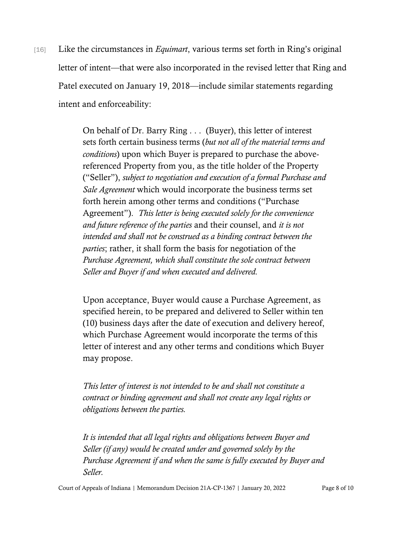[16] Like the circumstances in *Equimart*, various terms set forth in Ring's original letter of intent—that were also incorporated in the revised letter that Ring and Patel executed on January 19, 2018—include similar statements regarding intent and enforceability:

> On behalf of Dr. Barry Ring . . . (Buyer), this letter of interest sets forth certain business terms (*but not all of the material terms and conditions*) upon which Buyer is prepared to purchase the abovereferenced Property from you, as the title holder of the Property ("Seller"), *subject to negotiation and execution of a formal Purchase and Sale Agreement* which would incorporate the business terms set forth herein among other terms and conditions ("Purchase Agreement"). *This letter is being executed solely for the convenience and future reference of the parties* and their counsel, and *it is not intended and shall not be construed as a binding contract between the parties*; rather, it shall form the basis for negotiation of the *Purchase Agreement, which shall constitute the sole contract between Seller and Buyer if and when executed and delivered.*

Upon acceptance, Buyer would cause a Purchase Agreement, as specified herein, to be prepared and delivered to Seller within ten (10) business days after the date of execution and delivery hereof, which Purchase Agreement would incorporate the terms of this letter of interest and any other terms and conditions which Buyer may propose.

*This letter of interest is not intended to be and shall not constitute a contract or binding agreement and shall not create any legal rights or obligations between the parties.* 

*It is intended that all legal rights and obligations between Buyer and Seller (if any) would be created under and governed solely by the Purchase Agreement if and when the same is fully executed by Buyer and Seller.*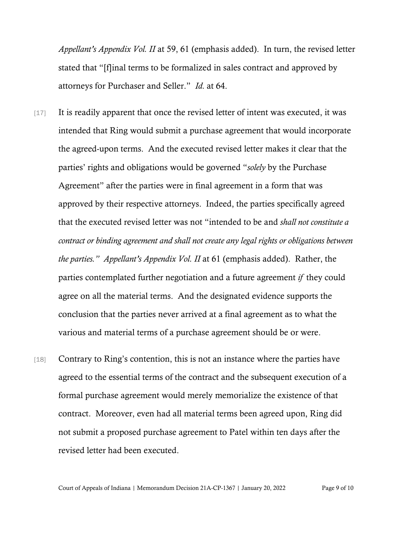*Appellant's Appendix Vol. II* at 59, 61 (emphasis added). In turn, the revised letter stated that "[f]inal terms to be formalized in sales contract and approved by attorneys for Purchaser and Seller." *Id.* at 64.

- [17] It is readily apparent that once the revised letter of intent was executed, it was intended that Ring would submit a purchase agreement that would incorporate the agreed-upon terms. And the executed revised letter makes it clear that the parties' rights and obligations would be governed "*solely* by the Purchase Agreement" after the parties were in final agreement in a form that was approved by their respective attorneys. Indeed, the parties specifically agreed that the executed revised letter was not "intended to be and *shall not constitute a contract or binding agreement and shall not create any legal rights or obligations between the parties." Appellant's Appendix Vol. II* at 61 (emphasis added). Rather, the parties contemplated further negotiation and a future agreement *if* they could agree on all the material terms. And the designated evidence supports the conclusion that the parties never arrived at a final agreement as to what the various and material terms of a purchase agreement should be or were.
- [18] Contrary to Ring's contention, this is not an instance where the parties have agreed to the essential terms of the contract and the subsequent execution of a formal purchase agreement would merely memorialize the existence of that contract. Moreover, even had all material terms been agreed upon, Ring did not submit a proposed purchase agreement to Patel within ten days after the revised letter had been executed.